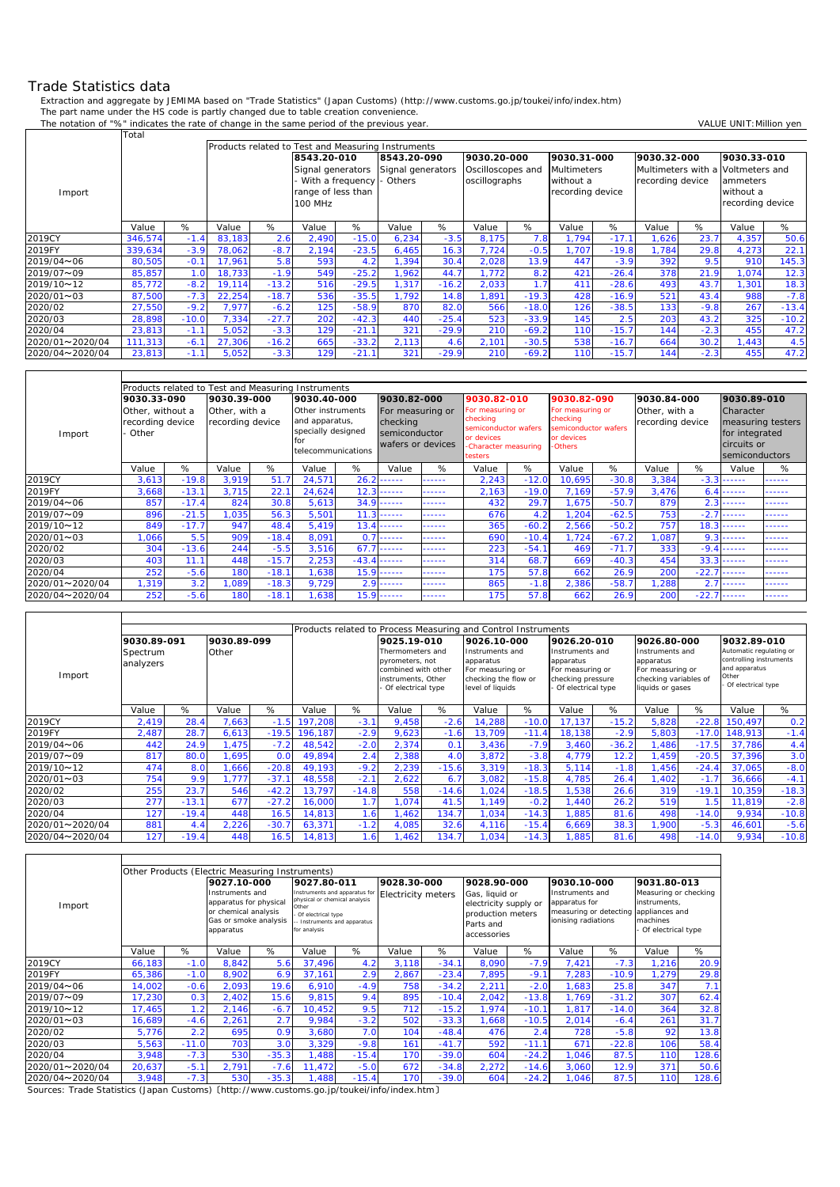## Trade Statistics data

 $\mathsf{r}$ 

Extraction and aggregate by JEMIMA based on "Trade Statistics" (Japan Customs) (http://www.customs.go.jp/toukei/info/index.htm) The part name under the HS code is partly changed due to table creation convenience.

The notation of "%" indicates the rate of change in the same period of the previous year. VALUE UNIT: Million yen

|                 | Total   |         |                                                    |         |                    |         |                   |         |                   |         |                    |         |                  |        |                                   |         |
|-----------------|---------|---------|----------------------------------------------------|---------|--------------------|---------|-------------------|---------|-------------------|---------|--------------------|---------|------------------|--------|-----------------------------------|---------|
|                 |         |         | Products related to Test and Measuring Instruments |         |                    |         |                   |         |                   |         |                    |         |                  |        |                                   |         |
|                 |         |         |                                                    |         | 8543.20-010        |         | 8543.20-090       |         | 9030.20-000       |         | 9030.31-000        |         | 9030.32-000      |        | 9030.33-010                       |         |
|                 |         |         |                                                    |         | Signal generators  |         | Signal generators |         | Oscilloscopes and |         | <b>Multimeters</b> |         |                  |        | Multimeters with a Voltmeters and |         |
|                 |         |         |                                                    |         | With a frequency   |         | Others            |         | oscillographs     |         | without a          |         | recording device |        | ammeters                          |         |
| Import          |         |         |                                                    |         | range of less than |         |                   |         |                   |         | recording device   |         |                  |        | without a                         |         |
|                 |         |         |                                                    |         | <b>100 MHz</b>     |         |                   |         |                   |         |                    |         |                  |        | recording device                  |         |
|                 |         |         |                                                    |         |                    |         |                   |         |                   |         |                    |         |                  |        |                                   |         |
|                 | Value   | %       | Value                                              | %       | Value              | %       | Value             | %       | Value             | %       | Value              | %       | Value            | %      | Value                             | %       |
| 2019CY          | 346,574 | $-1.4$  | 83,183                                             | 2.6     | 2,490              | $-15.0$ | 6,234             | $-3.5$  | 8,175             | 7.8     | 1.794              | $-17.7$ | ,626             | 23.7   | 4,357                             | 50.6    |
| 2019FY          | 339,634 | $-3.9$  | 78,062                                             | $-8.7$  | 2,194              | $-23.5$ | 6,465             | 16.3    | 7.724             | $-0.5$  | 1.707              | $-19.8$ | .784             | 29.8   | 4,273                             | 22.1    |
| 2019/04~06      | 80,505  | $-0.1$  | 17.961                                             | 5.8     | 593                | 4.2     | 1.394             | 30.4    | 2,028             | 13.9    | 447                | $-3.9$  | 392              | 9.5    | 910                               | 145.3   |
| 2019/07~09      | 85,857  | 1.0     | 18,733                                             | $-1.9$  | 549                | $-25.2$ | ,962              | 44.7    | 1.772             | 8.2     | 421                | $-26.4$ | 378              | 21.9   | 1,074                             | 12.3    |
| 2019/10~12      | 85,772  | $-8.2$  | 19,114                                             | $-13.2$ | 516                | $-29.5$ | 1,317             | $-16.2$ | 2,033             | 1.7     | 411                | $-28.6$ | 493              | 43.7   | 1,301                             | 18.3    |
| 2020/01~03      | 87,500  | $-7.3$  | 22,254                                             | $-18.7$ | 536                | $-35.5$ | .792              | 14.8    | 1,891             | $-19.3$ | 428                | $-16.9$ | 521              | 43.4   | 988                               | $-7.8$  |
| 2020/02         | 27,550  | $-9.2$  | 7,977                                              | $-6.2$  | 125                | $-58.9$ | 870               | 82.0    | 566               | $-18.0$ | 126                | $-38.5$ | 133              | $-9.8$ | 267                               | $-13.4$ |
| 2020/03         | 28,898  | $-10.0$ | 7,334                                              | $-27.7$ | 202                | $-42.3$ | 440               | $-25.4$ | 523               | $-33.9$ | 145                | 2.5     | 203              | 43.2   | 325                               | $-10.2$ |
| 2020/04         | 23.813  | $-1.1$  | 5,052                                              | $-3.3$  | 129                | $-21.1$ | 321               | $-29.9$ | 210               | $-69.2$ | 110                | $-15.7$ | 144              | $-2.3$ | 455                               | 47.2    |
| 2020/01~2020/04 | 111,313 | $-6.7$  | 27,306                                             | $-16.2$ | 665                | $-33.2$ | 2,113             | 4.6     | 2,101             | $-30.5$ | 538                | $-16.7$ | 664              | 30.2   | 1,443                             | 4.5     |
| 2020/04~2020/04 | 23,813  | $-1.1$  | 5,052                                              | $-3.3$  | 129                | $-21.1$ | 321               | $-29.9$ | 210               | $-69.2$ | 110                | $-15.7$ | 144              | $-2.3$ | 455                               | 47.2    |

|                 | Products related to Test and Measuring Instruments<br>9030.82-010<br>9030.82-090<br>9030.84-000<br>9030.39-000<br>9030.82-000<br>9030.33-090<br>9030.40-000 |         |       |                                   |        |                                                                                        |       |                                                                                                         |       |                                                                  |                                                                                     |         |                                   |         |                                                                                   |        |
|-----------------|-------------------------------------------------------------------------------------------------------------------------------------------------------------|---------|-------|-----------------------------------|--------|----------------------------------------------------------------------------------------|-------|---------------------------------------------------------------------------------------------------------|-------|------------------------------------------------------------------|-------------------------------------------------------------------------------------|---------|-----------------------------------|---------|-----------------------------------------------------------------------------------|--------|
|                 |                                                                                                                                                             |         |       |                                   |        |                                                                                        |       |                                                                                                         |       |                                                                  |                                                                                     |         |                                   |         | 9030.89-010                                                                       |        |
| Import          | Other, without a<br>recording device<br>Other .                                                                                                             |         |       | Other, with a<br>recording device |        | Other instruments<br>and apparatus,<br>specially designed<br>for<br>telecommunications |       | For measuring or<br>checking<br>checking<br>semiconductor<br>or devices<br>wafers or devices<br>testers |       | For measuring or<br>semiconductor wafers<br>-Character measuring | For measuring or<br>checking<br>semiconductor wafers<br>or devices<br><b>Others</b> |         | Other, with a<br>recording device |         | Character<br>measuring testers<br>for integrated<br>circuits or<br>semiconductors |        |
|                 | Value                                                                                                                                                       | %       | Value | %                                 | Value  | %                                                                                      | Value | %                                                                                                       | Value | %                                                                | Value                                                                               | %       | Value                             | %       | Value                                                                             | %      |
| 2019CY          | 3,613                                                                                                                                                       | $-19.8$ | 3,919 | 51.7                              | 24,571 | 26.                                                                                    | ----- | ------                                                                                                  | 2,243 | $-12.0$                                                          | 10,695                                                                              | $-30.8$ | 3,384                             | $-3.3$  | .                                                                                 | ------ |
| 2019FY          | 3,668                                                                                                                                                       | $-13.1$ | 3.715 | 22.1                              | 24,624 | 12.                                                                                    | ----- | ------                                                                                                  | 2,163 | $-19.0$                                                          | 7.169                                                                               | $-57.9$ | 3.476                             | 6.4     | .                                                                                 | ------ |
| 2019/04~06      | 857                                                                                                                                                         | $-17.4$ | 824   | 30.8                              | 5,613  | 34.9                                                                                   | ----- | ------                                                                                                  | 432   | 29.7                                                             | 1,675                                                                               | $-50.7$ | 879                               | 2.3     | ------                                                                            | ------ |
| 2019/07~09      | 896                                                                                                                                                         | $-21.5$ | 1,035 | 56.3                              | 5,501  | 11                                                                                     | ----- | ------                                                                                                  | 676   | 4.2                                                              | 1,204                                                                               | $-62.5$ | 753                               | $-2.7$  |                                                                                   | ------ |
| 2019/10~12      | 849                                                                                                                                                         | $-17.7$ | 947   | 48.4                              | 5,419  | 13.                                                                                    | ----- | ------                                                                                                  | 365   | $-60.2$                                                          | 2,566                                                                               | $-50.2$ | 757                               | 18.3    | ------                                                                            | ------ |
| 2020/01~03      | ,066                                                                                                                                                        | 5.5     | 909   | $-18.4$                           | 8,091  | $\Omega$                                                                               | ----- | ------                                                                                                  | 690   | $-10.4$                                                          | 1,724                                                                               | $-67.2$ | .087                              | 9.3     | ------                                                                            | .      |
| 2020/02         | 304                                                                                                                                                         | $-13.6$ | 244   | $-5.5$                            | 3,516  | 67.                                                                                    | ----- | ------                                                                                                  | 223   | $-54.1$                                                          | 469                                                                                 | $-71.7$ | 333                               | $-9.4$  | ------                                                                            | ------ |
| 2020/03         | 403                                                                                                                                                         | 11.7    | 448   | $-15.7$                           | 2,253  | $-43.$                                                                                 | ----- | ------                                                                                                  | 314   | 68.7                                                             | 669                                                                                 | $-40.3$ | 454                               | 33.3    | ------                                                                            | ------ |
| 2020/04         | 252                                                                                                                                                         | $-5.6$  | 180   | $-18.1$                           | .638   | 15.9<br>.                                                                              |       | ------                                                                                                  | 175   | 57.8                                                             | 662                                                                                 | 26.9    | 200                               | $-22.7$ | $- - - - - -$                                                                     | ------ |
| 2020/01~2020/04 | , 319                                                                                                                                                       | 3.2     | 1,089 | $-18.3$                           | 9,729  | 2.9<br>------                                                                          |       | ------                                                                                                  | 865   | $-1.8$                                                           | 2,386                                                                               | $-58.7$ | ,288                              | 2.7     | ------                                                                            | ------ |
| 2020/04~2020/04 | 252                                                                                                                                                         | $-5.6$  | 180   | $-18.1$                           | .638   | 15.9<br>------                                                                         |       | ------                                                                                                  | 175   | 57.8                                                             | 662                                                                                 | 26.9    | 200                               | $-22.7$ | ------                                                                            | ------ |

|                 | Products related to Process Measuring and Control Instruments |         |             |                 |         |         |                                                                                                        |         |                                                                                              |         |                                                                                             |         |                                                                                               |         |                                                                                                    |         |
|-----------------|---------------------------------------------------------------|---------|-------------|-----------------|---------|---------|--------------------------------------------------------------------------------------------------------|---------|----------------------------------------------------------------------------------------------|---------|---------------------------------------------------------------------------------------------|---------|-----------------------------------------------------------------------------------------------|---------|----------------------------------------------------------------------------------------------------|---------|
|                 |                                                               |         |             |                 |         |         |                                                                                                        |         |                                                                                              |         |                                                                                             |         |                                                                                               |         |                                                                                                    |         |
|                 | 9030.89-091                                                   |         | 9030.89-099 |                 |         |         | 9025.19-010                                                                                            |         | 9026.10-000                                                                                  |         | 9026.20-010                                                                                 |         | 9026.80-000                                                                                   |         | 9032.89-010                                                                                        |         |
| Import          | Spectrum<br>analyzers                                         |         | Other       |                 |         |         | Thermometers and<br>pyrometers, not<br>combined with other<br>instruments, Other<br>Of electrical type |         | Instruments and<br>apparatus<br>For measuring or<br>checking the flow or<br>level of liquids |         | Instruments and<br>apparatus<br>For measuring or<br>checking pressure<br>Of electrical type |         | Instruments and<br>apparatus<br>For measuring or<br>checking variables of<br>liquids or gases |         | Automatic regulating or<br>controlling instruments<br>and apparatus<br>Other<br>Of electrical type |         |
|                 | Value                                                         | %       | Value       | %               | Value   | %       | Value                                                                                                  | %       | Value                                                                                        | %       | Value                                                                                       | %       | Value                                                                                         | %       | Value                                                                                              | %       |
| 2019CY          | 2,419                                                         | 28.4    | 7,663       | $-1.5$          | 197,208 | $-3.1$  | 9,458                                                                                                  | $-2.6$  | 14,288                                                                                       | $-10.0$ | 17.137                                                                                      | $-15.2$ | 5,828                                                                                         | $-22.8$ | 150.497                                                                                            | 0.2     |
| 2019FY          | 2,487                                                         | 28.7    | 6,613       | $-19.5$         | 196.187 | $-2.9$  | 9,623                                                                                                  | $-1.6$  | 13,709                                                                                       | $-11.4$ | 18,138                                                                                      | $-2.9$  | 5,803                                                                                         | $-17.0$ | 148.913                                                                                            | $-1.4$  |
| 2019/04~06      | 442                                                           | 24.9    | .475        | $-7.2$          | 48,542  | $-2.0$  | 2,374                                                                                                  | 0.1     | 3,436                                                                                        | $-7.9$  | 3,460                                                                                       | $-36.2$ | .486                                                                                          | $-17.5$ | 37,786                                                                                             | 4.4     |
| 2019/07~09      | 817                                                           | 80.0    | .695        | 0. <sub>C</sub> | 49,894  | 2.4     | 2,388                                                                                                  | 4.0     | 3,872                                                                                        | $-3.8$  | 4,779                                                                                       | 12.2    | ,459                                                                                          | $-20.5$ | 37,396                                                                                             | 3.0     |
| 2019/10~12      | 474                                                           | 8.0     | .666        | $-20.8$         | 49,193  | $-9.2$  | 2,239                                                                                                  | $-15.6$ | 3,319                                                                                        | $-18.3$ | 5,114                                                                                       | $-1.8$  | ,456                                                                                          | $-24.4$ | 37,065                                                                                             | $-8.0$  |
| 2020/01~03      | 754                                                           | 9.9     | ,777        | $-37.1$         | 48,558  | $-2.1$  | 2,622                                                                                                  | 6.7     | 3,082                                                                                        | $-15.8$ | 4,785                                                                                       | 26.4    | ,402                                                                                          | $-1.7$  | 36,666                                                                                             | $-4.1$  |
| 2020/02         | 255                                                           | 23.7    | 546         | $-42.2$         | 13,797  | $-14.8$ | 558                                                                                                    | $-14.6$ | 1,024                                                                                        | $-18.5$ | 1,538                                                                                       | 26.6    | 319                                                                                           | $-19.1$ | 10,359                                                                                             | $-18.3$ |
| 2020/03         | 277                                                           | $-13.$  | 677         | $-27.2$         | 16,000  |         | 1,074                                                                                                  | 41.5    | 1,149                                                                                        | $-0.2$  | 1,440                                                                                       | 26.2    | 519                                                                                           |         | 11,819                                                                                             | $-2.8$  |
| 2020/04         | 127                                                           | $-19.4$ | 448         | 16.5            | 14,813  | .6      | ,462                                                                                                   | 134.7   | ,034                                                                                         | $-14.3$ | .885                                                                                        | 81.6    | 498                                                                                           | $-14.0$ | 9,934                                                                                              | $-10.8$ |
| 2020/01~2020/04 | 881                                                           | 4.4     | 2,226       | $-30.7$         | 63,371  | $-1.2$  | 4,085                                                                                                  | 32.6    | 4,116                                                                                        | $-15.4$ | 6,669                                                                                       | 38.3    | .900                                                                                          | $-5.3$  | 46,601                                                                                             | $-5.6$  |
| 2020/04~2020/04 | 127                                                           | $-19.4$ | 448         | 16.5            | 14.813  | $-6$    |                                                                                                        | 134.    | 1.034                                                                                        | $-14.3$ | .885                                                                                        | 81.6    | 498                                                                                           | $-14.0$ | 9.934                                                                                              | $-10.8$ |

|                 | Other Products (Electric Measuring Instruments) |         |                                                                                                         |         |                                                                                                                                               |         |                           |         |                                                                                          |         |                                                                                   |         |                                                                                             |       |
|-----------------|-------------------------------------------------|---------|---------------------------------------------------------------------------------------------------------|---------|-----------------------------------------------------------------------------------------------------------------------------------------------|---------|---------------------------|---------|------------------------------------------------------------------------------------------|---------|-----------------------------------------------------------------------------------|---------|---------------------------------------------------------------------------------------------|-------|
|                 |                                                 |         | 9027.10-000                                                                                             |         | 9027.80-011                                                                                                                                   |         | 9028.30-000               |         | 9028.90-000                                                                              |         | 9030.10-000                                                                       |         | 9031.80-013                                                                                 |       |
| Import          |                                                 |         | Instruments and<br>apparatus for physical<br>or chemical analysis<br>Gas or smoke analysis<br>apparatus |         | Instruments and apparatus for<br>physical or chemical analysis<br>Other<br>Of electrical type<br>-- Instruments and apparatus<br>for analysis |         | <b>Electricity meters</b> |         | Gas, liquid or<br>electricity supply or<br>production meters<br>Parts and<br>accessories |         | Instruments and<br>apparatus for<br>measuring or detecting<br>ionising radiations |         | Measuring or checking<br>instruments.<br>appliances and<br>machines<br>- Of electrical type |       |
|                 | Value                                           | %       | Value                                                                                                   | %       | Value                                                                                                                                         | %       | Value                     | %       | Value                                                                                    | %       | Value                                                                             | %       | Value                                                                                       | %     |
| 2019CY          | 66,183                                          | $-1.0$  | 8,842                                                                                                   | 5.6     | 37.496                                                                                                                                        | 4.2     | 3,118                     | $-34.1$ | 8,090                                                                                    | $-7.9$  | 7,421                                                                             | $-7.3$  | 1,216                                                                                       | 20.9  |
| 2019FY          | 65,386                                          | $-1.0$  | 8,902                                                                                                   | 6.9     | 37,161                                                                                                                                        | 2.9     | 2,867                     | $-23.4$ | 7,895                                                                                    | $-9.1$  | 7,283                                                                             | $-10.9$ | 1,279                                                                                       | 29.8  |
| 2019/04~06      | 14,002                                          | $-0.6$  | 2,093                                                                                                   | 19.6    | 6,910                                                                                                                                         | $-4.9$  | 758                       | $-34.2$ | 2,211                                                                                    | $-2.0$  | .683                                                                              | 25.8    | 347                                                                                         | 7.1   |
| 2019/07~09      | 17,230                                          | 0.3     | 2,402                                                                                                   | 15.6    | 9.815                                                                                                                                         | 9.4     | 895                       | $-10.4$ | 2,042                                                                                    | $-13.8$ | 1.769                                                                             | $-31.2$ | 307                                                                                         | 62.4  |
| 2019/10~12      | 17,465                                          | 1.2     | 2,146                                                                                                   | $-6.7$  | 10.452                                                                                                                                        | 9.5     | 712                       | $-15.2$ | 1,974                                                                                    | $-10.1$ | 1,817                                                                             | $-14.0$ | 364                                                                                         | 32.8  |
| 2020/01~03      | 16,689                                          | $-4.6$  | 2,261                                                                                                   | 2.7     | 9,984                                                                                                                                         | $-3.2$  | 502                       | $-33.3$ | 1,668                                                                                    | $-10.5$ | 2,014                                                                             | $-6.4$  | 261                                                                                         | 31.7  |
| 2020/02         | 5,776                                           | 2.2     | 695                                                                                                     | 0.9     | 3,680                                                                                                                                         | 7.0     | 104                       | $-48.4$ | 476                                                                                      | 2.4     | 728                                                                               | $-5.8$  | 92                                                                                          | 13.8  |
| 2020/03         | 5,563                                           | $-11.0$ | 703                                                                                                     | 3.0     | 3,329                                                                                                                                         | $-9.8$  | 161                       | $-41.7$ | 592                                                                                      | $-11.1$ | 671                                                                               | $-22.8$ | 106                                                                                         | 58.4  |
| 2020/04         | 3,948                                           | $-7.3$  | 530                                                                                                     | $-35.3$ | 1,488                                                                                                                                         | $-15.4$ | 170                       | $-39.0$ | 604                                                                                      | $-24.2$ | 1,046                                                                             | 87.5    | 110                                                                                         | 128.6 |
| 2020/01~2020/04 | $-5.1$<br>2,791<br>20,637<br>$-7.6$             |         | 11.472                                                                                                  | $-5.0$  | 672                                                                                                                                           | $-34.8$ | 2,272                     | $-14.6$ | 3,060                                                                                    | 12.9    | 371                                                                               | 50.6    |                                                                                             |       |
| 2020/04~2020/04 | $-7.3$<br>$-35.3$<br>3,948<br>530               |         |                                                                                                         | 1,488   | $-15.4$                                                                                                                                       | 170     | $-39.0$                   | 604     | $-24.2$                                                                                  | 1,046   | 87.5                                                                              | 110     | 128.6                                                                                       |       |

Sources: Trade Statistics (Japan Customs) 〔http://www.customs.go.jp/toukei/info/index.htm〕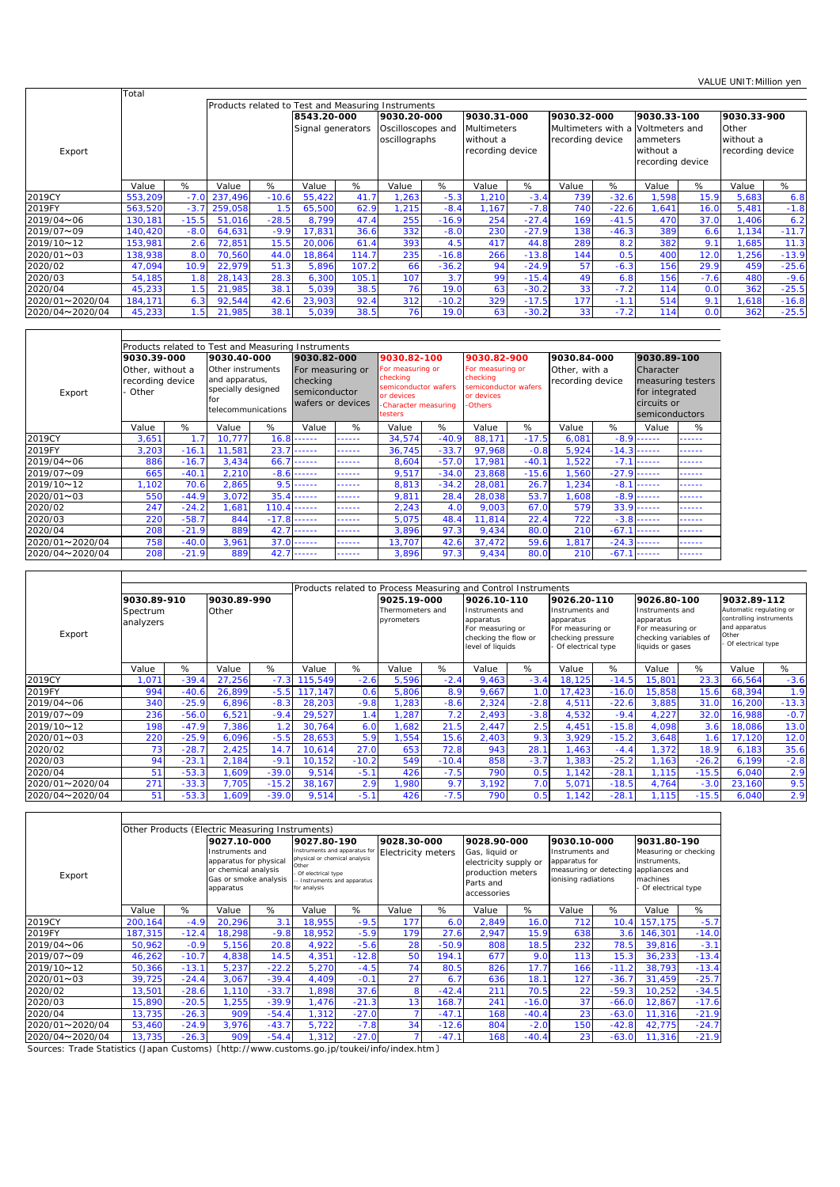|                 | Total   |         |                                                                                  |         |        |                   |             |                                    |                                              |         |                                        |         |                                                             |                |                                        |         |
|-----------------|---------|---------|----------------------------------------------------------------------------------|---------|--------|-------------------|-------------|------------------------------------|----------------------------------------------|---------|----------------------------------------|---------|-------------------------------------------------------------|----------------|----------------------------------------|---------|
|                 |         |         | Products related to Test and Measuring Instruments<br>8543.20-000<br>9030.33-100 |         |        |                   |             |                                    |                                              |         |                                        |         |                                                             |                |                                        |         |
|                 |         |         |                                                                                  |         |        |                   | 9030.20-000 |                                    | 9030.31-000                                  |         | 9030.32-000                            |         |                                                             |                | 9030.33-900                            |         |
| Export          |         |         |                                                                                  |         |        | Signal generators |             | Oscilloscopes and<br>oscillographs | Multimeters<br>without a<br>recording device |         | Multimeters with a<br>recording device |         | Voltmeters and<br>ammeters<br>without a<br>recording device |                | Other<br>without a<br>recording device |         |
|                 | Value   | %       | Value                                                                            | %       | Value  | %                 | Value       | %                                  | Value                                        | %       | Value                                  | %       | Value                                                       | %              | Value                                  | %       |
| 2019CY          | 553,209 | $-7.0$  | 237,496                                                                          | $-10.6$ | 55,422 | 41.7              | ,263        | $-5.3$                             | 1,210                                        | $-3.4$  | 739                                    | $-32.6$ | ,598                                                        | 15.9           | 5,683                                  | 6.8     |
| 2019FY          | 563,520 | $-3.7$  | 259,058                                                                          | .5      | 65,500 | 62.9              | ,215        | $-8.4$                             | 1.167                                        | $-7.8$  | 740                                    | $-22.6$ | .641                                                        | 16.0           | 5,481                                  | $-1.8$  |
| 2019/04~06      | 130,181 | $-15.5$ | 51,016                                                                           | $-28.5$ | 8,799  | 47.4              | 255         | $-16.9$                            | 254                                          | $-27.4$ | 169                                    | $-41.5$ | 470                                                         | 37.0           | 1,406                                  | 6.2     |
| 2019/07~09      | 140.420 | $-8.0$  | 64,631                                                                           | $-9.9$  | 17,831 | 36.6              | 332         | $-8.0$                             | 230                                          | $-27.9$ | 138                                    | $-46.3$ | 389                                                         | 6.6            | 1.134                                  | $-11.7$ |
| 2019/10~12      | 153,981 | 2.6     | 72,851                                                                           | 15.5    | 20,006 | 61.4              | 393         | 4.5                                | 417                                          | 44.8    | 289                                    | 8.2     | 382                                                         | 9 <sup>o</sup> | ,685                                   | 11.3    |
| 2020/01~03      | 138,938 | 8.0     | 70,560                                                                           | 44.0    | 18,864 | 114.7             | 235         | $-16.8$                            | 266                                          | $-13.8$ | 144                                    | 0.5     | 400                                                         | 12.0           | ,256                                   | $-13.9$ |
| 2020/02         | 47.094  | 10.9    | 22,979                                                                           | 51.3    | 5,896  | 107.2             | 66          | $-36.2$                            | 94                                           | $-24.9$ | 57                                     | $-6.3$  | 156                                                         | 29.9           | 459                                    | $-25.6$ |
| 2020/03         | 54.185  | 1.8     | 28,143                                                                           | 28.3    | 6,300  | 105.1             | 107         | 3.7                                | 99                                           | $-15.4$ | 49                                     | 6.8     | 156                                                         | $-7.6$         | 480                                    | $-9.6$  |
| 2020/04         | 45,233  | 1.5     | 21,985                                                                           | 38.1    | 5,039  | 38.5              | 76          | 19.0                               | 63                                           | $-30.2$ | 33                                     | $-7.2$  | 114                                                         | 0.0            | 362                                    | $-25.5$ |
| 2020/01~2020/04 | 184,171 | 6.3     | 92,544                                                                           | 42.6    | 23,903 | 92.4              | 312         | $-10.2$                            | 329                                          | $-17.5$ | 177                                    | $-1.1$  | 514                                                         | 9.7            | ,618                                   | $-16.8$ |
| 2020/04~2020/04 | 45,233  | 1.5     | 21,985                                                                           | 38.1    | 5,039  | 38.5              | 761         | 19.0                               | 63                                           | $-30.2$ | 33                                     | $-7.2$  | 114                                                         | 0.0            | 362                                    | $-25.5$ |

|                 |                                               |         | Products related to Test and Measuring Instruments                                     |         |                                                                    |        |                                                                                                       |         |                                                                                     |         |                                   |         |                                                              |                   |
|-----------------|-----------------------------------------------|---------|----------------------------------------------------------------------------------------|---------|--------------------------------------------------------------------|--------|-------------------------------------------------------------------------------------------------------|---------|-------------------------------------------------------------------------------------|---------|-----------------------------------|---------|--------------------------------------------------------------|-------------------|
|                 | 9030.39-000                                   |         | 9030.40-000                                                                            |         | 9030.82-000                                                        |        | 9030.82-100                                                                                           |         | 9030.82-900                                                                         |         | 9030.84-000                       |         | 9030.89-100                                                  |                   |
| Export          | Other, without a<br>recording device<br>Other |         | Other instruments<br>and apparatus,<br>specially designed<br>for<br>telecommunications |         | For measuring or<br>checking<br>semiconductor<br>wafers or devices |        | For measuring or<br>checking<br>semiconductor wafers<br>or devices<br>-Character measuring<br>testers |         | For measuring or<br>checking<br>semiconductor wafers<br>or devices<br><b>Others</b> |         | Other, with a<br>recording device |         | Character<br>for integrated<br>circuits or<br>semiconductors | measuring testers |
|                 | Value                                         | %       | Value                                                                                  | %       | Value                                                              | %      | Value                                                                                                 | %       | Value                                                                               | %       | Value                             | %       | Value                                                        | %                 |
| 2019CY          | 3,651                                         | 1.7     | 10.777                                                                                 | 16.8    | ------                                                             | .      | 34.574                                                                                                | $-40.9$ | 88.171                                                                              | $-17.5$ | 6.081                             | $-8.9$  | ------                                                       | .                 |
| 2019FY          | 3,203                                         | $-16.1$ | 11,581                                                                                 | 23.7    | ------                                                             | ------ | 36,745                                                                                                | $-33.7$ | 97,968                                                                              | $-0.8$  | 5,924                             | $-14.3$ | ------                                                       | ------            |
| 2019/04~06      | 886                                           | $-16.7$ | 3,434                                                                                  | 66.7    | ------                                                             | ------ | 8,604                                                                                                 | $-57.0$ | 17,981                                                                              | $-40.1$ | 1,522                             | $-7.1$  | ------                                                       | .                 |
| 2019/07~09      | 665                                           | $-40.7$ | 2,210                                                                                  | $-8.6$  | ------                                                             | .      | 9,517                                                                                                 | $-34.0$ | 23,868                                                                              | $-15.6$ | 1,560                             | $-27.9$ | ------                                                       | .                 |
| 2019/10~12      | 1,102                                         | 70.6    | 2,865                                                                                  | 9.5     |                                                                    | ------ | 8,813                                                                                                 | $-34.2$ | 28,081                                                                              | 26.7    | 1,234                             | $-8.1$  | ------                                                       | .                 |
| 2020/01~03      | 550                                           | $-44.9$ | 3.072                                                                                  | 35.4    | -------                                                            | ------ | 9.811                                                                                                 | 28.4    | 28,038                                                                              | 53.7    | 1.608                             | $-8.9$  | $- - - - - -$                                                | ------            |
| 2020/02         | 247                                           | $-24.2$ | ,681                                                                                   | 110.4   | ------                                                             | ------ | 2,243                                                                                                 | 4.0     | 9,003                                                                               | 67.0    | 579                               | 33.9    | ------                                                       | .                 |
| 2020/03         | 220                                           | $-58.7$ | 844                                                                                    | $-17.8$ | ------                                                             | ------ | 5,075                                                                                                 | 48.4    | 11.814                                                                              | 22.4    | 722                               | $-3.8$  | ------                                                       | .                 |
| 2020/04         | 208                                           | $-21.9$ | 889                                                                                    | 42.7    | ------                                                             |        | 3,896                                                                                                 | 97.3    | 9,434                                                                               | 80.0    | 210                               | $-67.1$ | $- - - - - -$                                                | .                 |
| 2020/01~2020/04 | 758                                           | $-40.0$ | 3,961                                                                                  | 37.0    | ------                                                             | ------ | 13,707                                                                                                | 42.6    | 37,472                                                                              | 59.6    | 1,817                             | $-24.3$ | ------                                                       | ------            |
| 2020/04~2020/04 | 208                                           | $-21.9$ | 889                                                                                    | 42.7    | ------                                                             | ------ | 3.896                                                                                                 | 97.3    | 9,434                                                                               | 80.0    | 210                               | $-67.1$ | ------                                                       | .                 |

|                 |                       |         |             |         |         |         |                                |         | Products related to Process Measuring and Control Instruments                                |        |                                                                                             |         |                                                                                               |         |                                                                                                    |         |
|-----------------|-----------------------|---------|-------------|---------|---------|---------|--------------------------------|---------|----------------------------------------------------------------------------------------------|--------|---------------------------------------------------------------------------------------------|---------|-----------------------------------------------------------------------------------------------|---------|----------------------------------------------------------------------------------------------------|---------|
|                 | 9030.89-910           |         | 9030.89-990 |         |         |         | 9025.19-000                    |         | 9026.10-110                                                                                  |        | 9026.20-110                                                                                 |         | 9026.80-100                                                                                   |         | 9032.89-112                                                                                        |         |
| Export          | Spectrum<br>analyzers |         | Other       |         |         |         | Thermometers and<br>pyrometers |         | Instruments and<br>apparatus<br>For measuring or<br>checking the flow or<br>level of liquids |        | Instruments and<br>apparatus<br>For measuring or<br>checking pressure<br>Of electrical type |         | Instruments and<br>apparatus<br>For measuring or<br>checking variables of<br>liquids or gases |         | Automatic regulating or<br>controlling instruments<br>and apparatus<br>Other<br>Of electrical type |         |
|                 | Value                 | %       | Value       | %       | Value   | %       | Value                          | %       | Value                                                                                        | %      | Value                                                                                       | %       | Value                                                                                         | %       | Value                                                                                              | %       |
| 2019CY          | .071                  | $-39.4$ | 27,256      | $-7.3$  | 115,549 | $-2.6$  | 5,596                          | $-2.4$  | 9,463                                                                                        | $-3.4$ | 18,125                                                                                      | $-14.5$ | 15,801                                                                                        | 23.3    | 66,564                                                                                             | $-3.6$  |
| 2019FY          | 994                   | $-40.6$ | 26,899      | $-5.5$  | 117,147 | 0.6     | 5,806                          | 8.9     | 9,667                                                                                        | 1.0    | 17,423                                                                                      | $-16.0$ | 15,858                                                                                        | 15.6    | 68,394                                                                                             | 1.9     |
| 2019/04~06      | 340                   | $-25.9$ | 6,896       | $-8.3$  | 28,203  | $-9.8$  | ,283                           | $-8.6$  | 2,324                                                                                        | $-2.8$ | 4,511                                                                                       | $-22.6$ | 3,885                                                                                         | 31.0    | 16,200                                                                                             | $-13.3$ |
| 2019/07~09      | 236                   | $-56.0$ | 6,521       | $-9.4$  | 29,527  |         | .287                           |         | 2,493                                                                                        | $-3.8$ | 4,532                                                                                       | $-9.4$  | 4,227                                                                                         | 32.0    | 16,988                                                                                             | $-0.7$  |
| 2019/10~12      | 198                   | $-47.9$ | 7,386       | 1.2     | 30,764  | 6.0     | ,682                           | 21.5    | 2,447                                                                                        | 2.5    | 4,451                                                                                       | $-15.8$ | 4,098                                                                                         | 3.6     | 18,086                                                                                             | 13.0    |
| 2020/01~03      | 220                   | $-25.9$ | 6,096       | $-5.5$  | 28,653  | 5.9     | ,554                           | 15.6    | 2,403                                                                                        | 9.3    | 3,929                                                                                       | $-15.2$ | 3,648                                                                                         | $-6$    | 17,120                                                                                             | 12.0    |
| 2020/02         | 73                    | $-28.7$ | 2,425       | 14.7    | 10,614  | 27.0    | 653                            | 72.8    | 943                                                                                          | 28.1   | 1,463                                                                                       | $-4.4$  | 1,372                                                                                         | 18.9    | 6,183                                                                                              | 35.6    |
| 2020/03         | 94                    | $-23.$  | 2,184       | $-9.1$  | 10,152  | $-10.2$ | 549                            | $-10.4$ | 858                                                                                          | $-3.7$ | 1,383                                                                                       | $-25.2$ | 1,163                                                                                         | $-26.2$ | 6,199                                                                                              | $-2.8$  |
| 2020/04         | 51                    | $-53.3$ | ,609        | $-39.0$ | 9,514   | $-5.1$  | 426                            | $-7.5$  | 790                                                                                          | 0.5    | 1,142                                                                                       | $-28.1$ | 1.115                                                                                         | $-15.5$ | 6,040                                                                                              | 2.9     |
| 2020/01~2020/04 | 271                   | $-33.3$ | 7.705       | $-15.2$ | 38,167  | 2.9     | 1.980                          | 9.7     | 3,192                                                                                        | 7.0    | 5,071                                                                                       | $-18.5$ | 4,764                                                                                         | $-3.0$  | 23,160                                                                                             | 9.5     |
| 2020/04~2020/04 | 51                    | $-53.3$ | .609        | $-39.0$ | 9,514   | $-5.7$  | 426                            | $-7.5$  | 790                                                                                          | 0.5    | 1.142                                                                                       | $-28.1$ | .115                                                                                          | $-15.5$ | 6,040                                                                                              | 2.9     |

|                 |                                       |         | Other Products (Electric Measuring Instruments)                                                         |         |                                                                              |                                                              |                    |         |                                                                                          |         |                                                                                   |         |                                                                                             |         |
|-----------------|---------------------------------------|---------|---------------------------------------------------------------------------------------------------------|---------|------------------------------------------------------------------------------|--------------------------------------------------------------|--------------------|---------|------------------------------------------------------------------------------------------|---------|-----------------------------------------------------------------------------------|---------|---------------------------------------------------------------------------------------------|---------|
|                 |                                       |         | 9027.10-000                                                                                             |         | 9027.80-190                                                                  |                                                              | 9028.30-000        |         | 9028.90-000                                                                              |         | 9030.10-000                                                                       |         | 9031.80-190                                                                                 |         |
| Export          |                                       |         | Instruments and<br>apparatus for physical<br>or chemical analysis<br>Gas or smoke analysis<br>apparatus |         | physical or chemical analysis<br>Other<br>Of electrical type<br>for analysis | Instruments and apparatus for<br>- Instruments and apparatus | Electricity meters |         | Gas, liquid or<br>electricity supply or<br>production meters<br>Parts and<br>accessories |         | Instruments and<br>apparatus for<br>measuring or detecting<br>ionising radiations |         | Measuring or checking<br>instruments,<br>appliances and<br>machines<br>- Of electrical type |         |
|                 | Value                                 | %       | Value                                                                                                   | %       | Value                                                                        | %                                                            | Value              | %       | Value                                                                                    | %       | Value                                                                             | %       | Value                                                                                       | %       |
| 2019CY          | 200,164                               | $-4.9$  | 20,296                                                                                                  | 3.1     | 18.955                                                                       | $-9.5$                                                       | 177                | 6.0     | 2,849                                                                                    | 16.0    | 712                                                                               | 10.4    | 157,175                                                                                     | $-5.7$  |
| 2019FY          | 187,315                               | $-12.4$ | 18,298                                                                                                  | $-9.8$  | 18.952                                                                       | $-5.9$                                                       | 179                | 27.6    | 2,947                                                                                    | 15.9    | 638                                                                               | 3.6     | 146,301                                                                                     | $-14.0$ |
| 2019/04~06      | 50,962                                | $-0.9$  | 5,156                                                                                                   | 20.8    | 4,922                                                                        | $-5.6$                                                       | 28                 | $-50.9$ | 808                                                                                      | 18.5    | 232                                                                               | 78.5    | 39,816                                                                                      | $-3.1$  |
| 2019/07~09      | 46,262                                | $-10.7$ | 4,838                                                                                                   | 14.5    | 4,351                                                                        | $-12.8$                                                      | 50                 | 194.1   | 677                                                                                      | 9.0     | 113                                                                               | 15.3    | 36,233                                                                                      | $-13.4$ |
| 2019/10~12      | 50,366                                | $-13.1$ | 5,237                                                                                                   | $-22.2$ | 5,270                                                                        | $-4.5$                                                       | 74                 | 80.5    | 826                                                                                      | 17.7    | 166                                                                               | $-11.2$ | 38,793                                                                                      | $-13.4$ |
| 2020/01~03      | 39,725                                | $-24.4$ | 3,067                                                                                                   | $-39.4$ | 4,409                                                                        | $-0.7$                                                       | 27                 | 6.7     | 636                                                                                      | 18.1    | 127                                                                               | $-36.7$ | 31,459                                                                                      | $-25.7$ |
| 2020/02         | 13,501                                | $-28.6$ | 1.110                                                                                                   | $-33.7$ | .898                                                                         | 37.6                                                         | 8                  | $-42.4$ | 211                                                                                      | 70.5    | 22                                                                                | $-59.3$ | 10,252                                                                                      | $-34.5$ |
| 2020/03         | 15,890                                | $-20.5$ | 1,255                                                                                                   | $-39.9$ | 1,476                                                                        | $-21.3$                                                      | 13 <sub>1</sub>    | 168.7   | 241                                                                                      | $-16.0$ | 37                                                                                | $-66.0$ | 12,867                                                                                      | $-17.6$ |
| 2020/04         | 13,735                                | $-26.3$ | 909                                                                                                     | $-54.4$ | 1,312                                                                        | $-27.0$                                                      |                    | $-47.1$ | 168                                                                                      | $-40.4$ | 23                                                                                | $-63.0$ | 11,316                                                                                      | $-21.9$ |
| 2020/01~2020/04 | $-24.9$<br>3,976<br>$-43.7$<br>53,460 |         |                                                                                                         |         | 5,722                                                                        | $-7.8$                                                       | 34                 | $-12.6$ | 804                                                                                      | $-2.0$  | 150                                                                               | $-42.8$ | 42,775                                                                                      | $-24.7$ |
| 2020/04~2020/04 | $-26.3$<br>$-54.4$<br>13,735<br>909   |         |                                                                                                         |         | 1,312                                                                        | $-27.0$                                                      |                    | $-47.1$ | 168                                                                                      | $-40.4$ | 23                                                                                | $-63.0$ | 11,316                                                                                      | $-21.9$ |

Sources: Trade Statistics (Japan Customs) 〔http://www.customs.go.jp/toukei/info/index.htm〕

 $\mathsf{r}$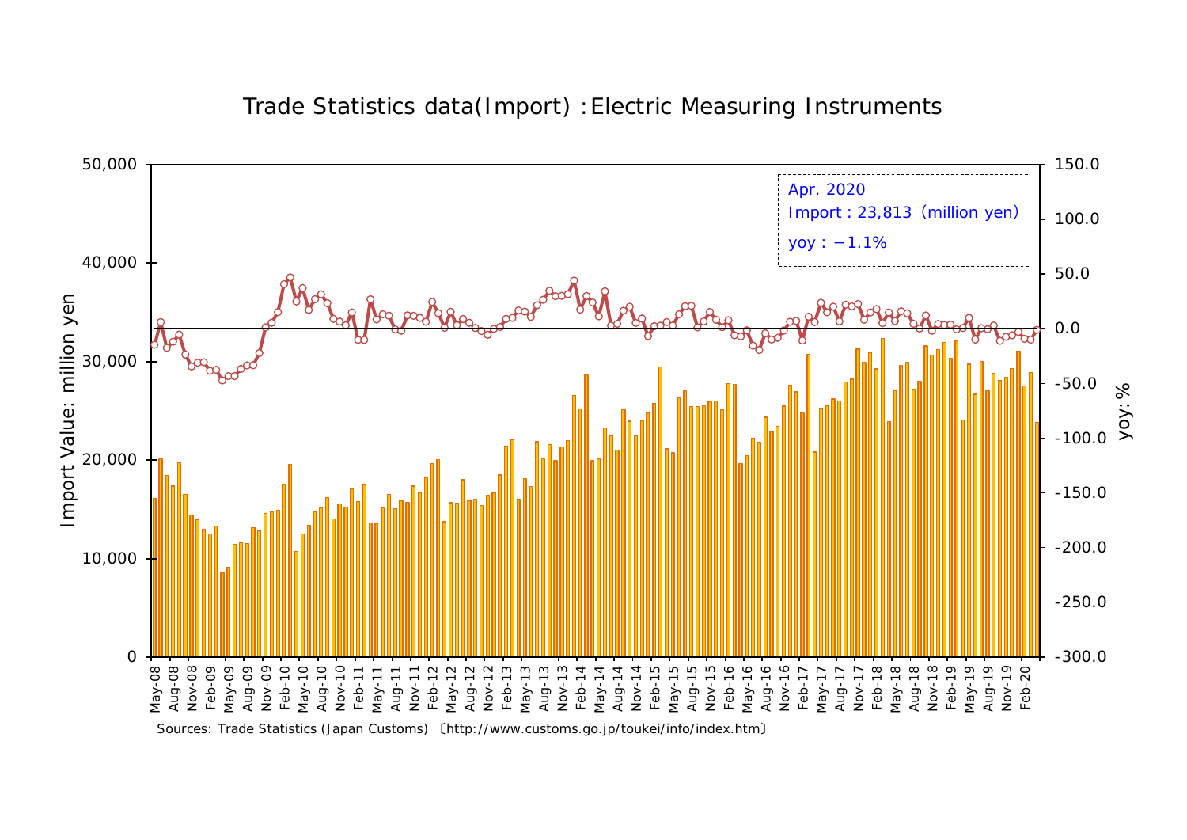

## Trade Statistics data(Import) :Electric Measuring Instruments

Sources: Trade Statistics (Japan Customs) 〔http://www.customs.go.jp/toukei/info/index.htm〕